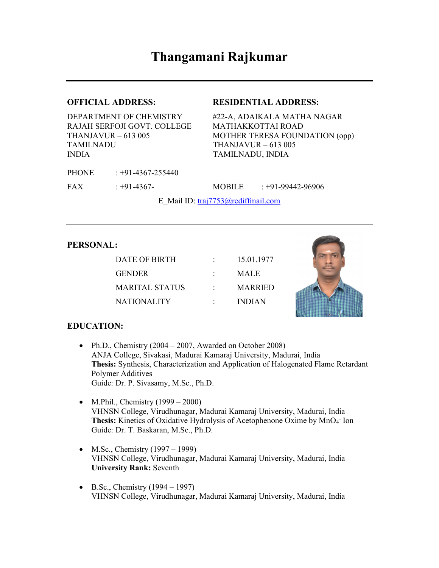### OFFICIAL ADDRESS: RESIDENTIAL ADDRESS:

DEPARTMENT OF CHEMISTRY #22-A, ADAIKALA MATHA NAGAR RAJAH SERFOJI GOVT. COLLEGE MATHAKKOTTAI ROAD TAMILNADU THANJAVUR – 613 005 INDIA TAMILNADU, INDIA

PHONE : +91-4367-255440

THANJAVUR – 613 005 MOTHER TERESA FOUNDATION (opp)

FAX : +91-4367- MOBILE : +91-99442-96906

E\_Mail ID: traj7753@rediffmail.com

#### PERSONAL:

DATE OF BIRTH : 15.01.1977 GENDER : MALE MARITAL STATUS : MARRIED NATIONALITY : INDIAN



### EDUCATION:

- Ph.D., Chemistry  $(2004 2007,$  Awarded on October 2008) ANJA College, Sivakasi, Madurai Kamaraj University, Madurai, India Thesis: Synthesis, Characterization and Application of Halogenated Flame Retardant Polymer Additives Guide: Dr. P. Sivasamy, M.Sc., Ph.D.
- M.Phil., Chemistry  $(1999 2000)$ VHNSN College, Virudhunagar, Madurai Kamaraj University, Madurai, India Thesis: Kinetics of Oxidative Hydrolysis of Acetophenone Oxime by MnO<sub>4</sub> Ion Guide: Dr. T. Baskaran, M.Sc., Ph.D.
- $\bullet$  M.Sc., Chemistry (1997 1999) VHNSN College, Virudhunagar, Madurai Kamaraj University, Madurai, India University Rank: Seventh
- $\bullet$  B.Sc., Chemistry (1994 1997) VHNSN College, Virudhunagar, Madurai Kamaraj University, Madurai, India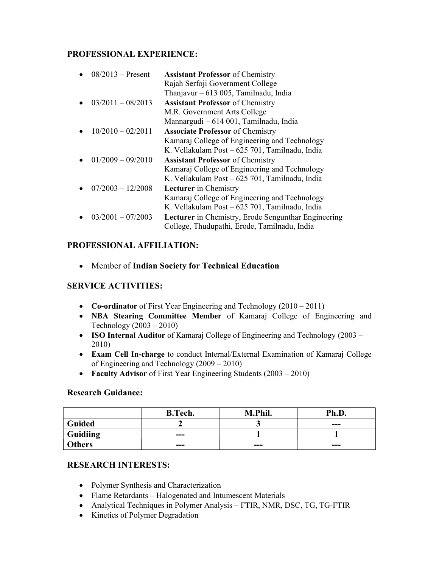## PROFESSIONAL EXPERIENCE:

| $08/2013$ – Present | <b>Assistant Professor</b> of Chemistry             |
|---------------------|-----------------------------------------------------|
|                     | Rajah Serfoji Government College                    |
|                     | Thanjavur $-613005$ , Tamilnadu, India              |
| $03/2011 - 08/2013$ | <b>Assistant Professor</b> of Chemistry             |
|                     | M.R. Government Arts College                        |
|                     | Mannargudi - 614 001, Tamilnadu, India              |
| $10/2010 - 02/2011$ | <b>Associate Professor</b> of Chemistry             |
|                     | Kamaraj College of Engineering and Technology       |
|                     | K. Vellakulam Post - 625 701, Tamilnadu, India      |
| $01/2009 - 09/2010$ | <b>Assistant Professor</b> of Chemistry             |
|                     | Kamaraj College of Engineering and Technology       |
|                     | K. Vellakulam Post – 625 701, Tamilnadu, India      |
| $07/2003 - 12/2008$ | <b>Lecturer</b> in Chemistry                        |
|                     | Kamaraj College of Engineering and Technology       |
|                     | K. Vellakulam Post – 625 701, Tamilnadu, India      |
| $03/2001 - 07/2003$ | Lecturer in Chemistry, Erode Sengunthar Engineering |
|                     | College, Thudupathi, Erode, Tamilnadu, India        |

# PROFESSIONAL AFFILIATION:

Member of Indian Society for Technical Education

## SERVICE ACTIVITIES:

- Co-ordinator of First Year Engineering and Technology (2010 2011)
- NBA Stearing Committee Member of Kamaraj College of Engineering and Technology (2003 – 2010)
- ISO Internal Auditor of Kamaraj College of Engineering and Technology (2003 2010)
- Exam Cell In-charge to conduct Internal/External Examination of Kamaraj College of Engineering and Technology (2009 – 2010)
- Faculty Advisor of First Year Engineering Students (2003 2010)

### Research Guidance:

|               | <b>B.Tech.</b> | M.Phil. | Ph.D.   |
|---------------|----------------|---------|---------|
| Guided        |                |         | $- - -$ |
| Guidiing      | $--$           |         |         |
| <b>Others</b> | ---            | $--$    | ---     |

## RESEARCH INTERESTS:

- Polymer Synthesis and Characterization
- Flame Retardants Halogenated and Intumescent Materials
- Analytical Techniques in Polymer Analysis FTIR, NMR, DSC, TG, TG-FTIR
- Kinetics of Polymer Degradation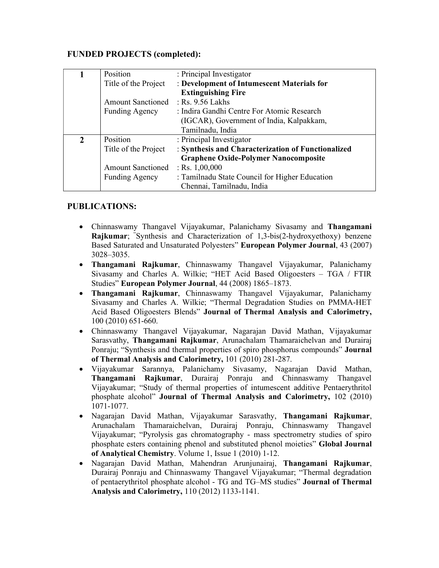## FUNDED PROJECTS (completed):

| 1              | Position                 | : Principal Investigator                           |
|----------------|--------------------------|----------------------------------------------------|
|                | Title of the Project     | : Development of Intumescent Materials for         |
|                |                          | <b>Extinguishing Fire</b>                          |
|                | <b>Amount Sanctioned</b> | : Rs. 9.56 Lakhs                                   |
|                | <b>Funding Agency</b>    | : Indira Gandhi Centre For Atomic Research         |
|                |                          | (IGCAR), Government of India, Kalpakkam,           |
|                |                          | Tamilnadu, India                                   |
| $\overline{2}$ | Position                 | : Principal Investigator                           |
|                | Title of the Project     | : Synthesis and Characterization of Functionalized |
|                |                          | <b>Graphene Oxide-Polymer Nanocomposite</b>        |
|                | <b>Amount Sanctioned</b> | : Rs. $1,00,000$                                   |
|                | <b>Funding Agency</b>    | : Tamilnadu State Council for Higher Education     |
|                |                          | Chennai, Tamilnadu, India                          |

## PUBLICATIONS:

- Chinnaswamy Thangavel Vijayakumar, Palanichamy Sivasamy and Thangamani Rajkumar; "Synthesis and Characterization of 1,3-bis(2-hydroxyethoxy) benzene Based Saturated and Unsaturated Polyesters" European Polymer Journal, 43 (2007) 3028–3035.
- Thangamani Rajkumar, Chinnaswamy Thangavel Vijayakumar, Palanichamy Sivasamy and Charles A. Wilkie; "HET Acid Based Oligoesters – TGA / FTIR Studies" European Polymer Journal, 44 (2008) 1865–1873.
- Thangamani Rajkumar, Chinnaswamy Thangavel Vijayakumar, Palanichamy Sivasamy and Charles A. Wilkie; "Thermal Degradation Studies on PMMA-HET Acid Based Oligoesters Blends" Journal of Thermal Analysis and Calorimetry, 100 (2010) 651-660.
- Chinnaswamy Thangavel Vijayakumar, Nagarajan David Mathan, Vijayakumar Sarasvathy, Thangamani Rajkumar, Arunachalam Thamaraichelvan and Durairaj Ponraju; "Synthesis and thermal properties of spiro phosphorus compounds" Journal of Thermal Analysis and Calorimetry, 101 (2010) 281-287.
- Vijayakumar Sarannya, Palanichamy Sivasamy, Nagarajan David Mathan, Thangamani Rajkumar, Durairaj Ponraju and Chinnaswamy Thangavel Vijayakumar; "Study of thermal properties of intumescent additive Pentaerythritol phosphate alcohol" Journal of Thermal Analysis and Calorimetry, 102 (2010) 1071-1077.
- Nagarajan David Mathan, Vijayakumar Sarasvathy, Thangamani Rajkumar, Arunachalam Thamaraichelvan, Durairaj Ponraju, Chinnaswamy Thangavel Vijayakumar; "Pyrolysis gas chromatography - mass spectrometry studies of spiro phosphate esters containing phenol and substituted phenol moieties" Global Journal of Analytical Chemistry. Volume 1, Issue 1 (2010) 1-12.
- Nagarajan David Mathan, Mahendran Arunjunairaj, Thangamani Rajkumar, Durairaj Ponraju and Chinnaswamy Thangavel Vijayakumar; "Thermal degradation of pentaerythritol phosphate alcohol - TG and TG–MS studies" Journal of Thermal Analysis and Calorimetry, 110 (2012) 1133-1141.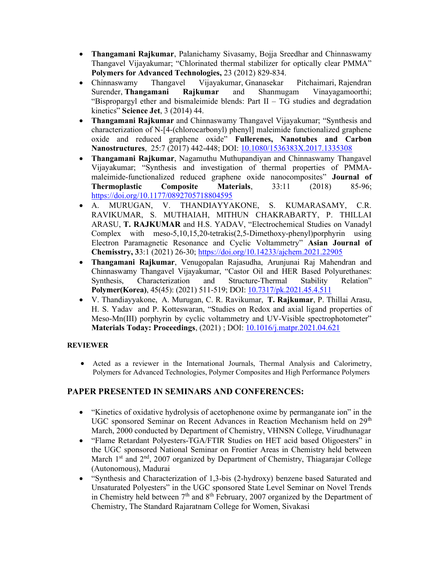- Thangamani Rajkumar, Palanichamy Sivasamy, Bojja Sreedhar and Chinnaswamy Thangavel Vijayakumar; "Chlorinated thermal stabilizer for optically clear PMMA" Polymers for Advanced Technologies, 23 (2012) 829-834.
- Chinnaswamy Thangavel Vijayakumar, Gnanasekar Pitchaimari, Rajendran Surender, Thangamani Rajkumar and Shanmugam Vinayagamoorthi; "Bispropargyl ether and bismaleimide blends: Part II – TG studies and degradation kinetics" Science Jet, 3 (2014) 44.
- Thangamani Rajkumar and Chinnaswamy Thangavel Vijayakumar; "Synthesis and characterization of N-[4-(chlorocarbonyl) phenyl] maleimide functionalized graphene oxide and reduced graphene oxide" Fullerenes, Nanotubes and Carbon Nanostructures, 25:7 (2017) 442-448; DOI: 10.1080/1536383X.2017.1335308
- Thangamani Rajkumar, Nagamuthu Muthupandiyan and Chinnaswamy Thangavel Vijayakumar; "Synthesis and investigation of thermal properties of PMMAmaleimide-functionalized reduced graphene oxide nanocomposites" Journal of Thermoplastic Composite Materials, 33:11 (2018) 85-96; https://doi.org/10.1177/0892705718804595
- A. MURUGAN, V. THANDIAYYAKONE, S. KUMARASAMY, C.R. RAVIKUMAR, S. MUTHAIAH, MITHUN CHAKRABARTY, P. THILLAI ARASU, T. RAJKUMAR and H.S. YADAV, "Electrochemical Studies on Vanadyl Complex with meso-5,10,15,20-tetrakis(2,5-Dimethoxy-phenyl)porphyrin using Electron Paramagnetic Resonance and Cyclic Voltammetry" Asian Journal of Chemisstry, 33:1 (2021) 26-30; https://doi.org/10.14233/ajchem.2021.22905
- Thangamani Rajkumar, Venugopalan Rajasudha, Arunjunai Raj Mahendran and Chinnaswamy Thangavel Vijayakumar, "Castor Oil and HER Based Polyurethanes: Synthesis, Characterization and Structure-Thermal Stability Relation" Polymer(Korea), 45(45): (2021) 511-519; DOI: 10.7317/pk.2021.45.4.511
- V. Thandiayyakone, A. Murugan, C. R. Ravikumar, T. Rajkumar, P. Thillai Arasu, H. S. Yadav and P. Kotteswaran, "Studies on Redox and axial ligand properties of Meso-Mn(III) porphyrin by cyclic voltammetry and UV-Visible spectrophotometer" Materials Today: Proceedings, (2021) ; DOI: 10.1016/j.matpr.2021.04.621

### **REVIEWER**

 Acted as a reviewer in the International Journals, Thermal Analysis and Calorimetry, Polymers for Advanced Technologies, Polymer Composites and High Performance Polymers

## PAPER PRESENTED IN SEMINARS AND CONFERENCES:

- "Kinetics of oxidative hydrolysis of acetophenone oxime by permanganate ion" in the UGC sponsored Seminar on Recent Advances in Reaction Mechanism held on 29<sup>th</sup> March, 2000 conducted by Department of Chemistry, VHNSN College, Virudhunagar
- "Flame Retardant Polyesters-TGA/FTIR Studies on HET acid based Oligoesters" in the UGC sponsored National Seminar on Frontier Areas in Chemistry held between March 1<sup>st</sup> and 2<sup>nd</sup>, 2007 organized by Department of Chemistry, Thiagarajar College (Autonomous), Madurai
- "Synthesis and Characterization of 1,3-bis (2-hydroxy) benzene based Saturated and Unsaturated Polyesters" in the UGC sponsored State Level Seminar on Novel Trends in Chemistry held between  $7<sup>th</sup>$  and  $8<sup>th</sup>$  February, 2007 organized by the Department of Chemistry, The Standard Rajaratnam College for Women, Sivakasi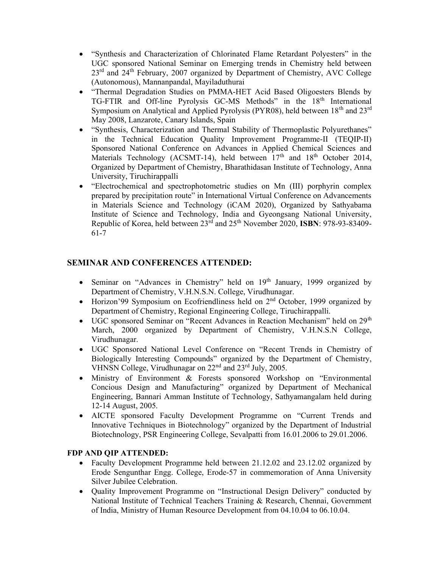- "Synthesis and Characterization of Chlorinated Flame Retardant Polyesters" in the UGC sponsored National Seminar on Emerging trends in Chemistry held between 23<sup>rd</sup> and 24<sup>th</sup> February, 2007 organized by Department of Chemistry, AVC College (Autonomous), Mannanpandal, Mayiladuthurai
- "Thermal Degradation Studies on PMMA-HET Acid Based Oligoesters Blends by TG-FTIR and Off-line Pyrolysis GC-MS Methods" in the 18<sup>th</sup> International Symposium on Analytical and Applied Pyrolysis (PYR08), held between  $18<sup>th</sup>$  and  $23<sup>rd</sup>$ May 2008, Lanzarote, Canary Islands, Spain
- "Synthesis, Characterization and Thermal Stability of Thermoplastic Polyurethanes" in the Technical Education Quality Improvement Programme-II (TEQIP-II) Sponsored National Conference on Advances in Applied Chemical Sciences and Materials Technology (ACSMT-14), held between  $17<sup>th</sup>$  and  $18<sup>th</sup>$  October 2014, Organized by Department of Chemistry, Bharathidasan Institute of Technology, Anna University, Tiruchirappalli
- "Electrochemical and spectrophotometric studies on Mn (III) porphyrin complex prepared by precipitation route" in International Virtual Conference on Advancements in Materials Science and Technology (iCAM 2020), Organized by Sathyabama Institute of Science and Technology, India and Gyeongsang National University, Republic of Korea, held between  $23<sup>rd</sup>$  and  $25<sup>th</sup>$  November 2020, ISBN: 978-93-83409-61-7

## SEMINAR AND CONFERENCES ATTENDED:

- Seminar on "Advances in Chemistry" held on 19<sup>th</sup> January, 1999 organized by Department of Chemistry, V.H.N.S.N. College, Virudhunagar.
- Horizon'99 Symposium on Ecofriendliness held on  $2<sup>nd</sup>$  October, 1999 organized by Department of Chemistry, Regional Engineering College, Tiruchirappalli.
- UGC sponsored Seminar on "Recent Advances in Reaction Mechanism" held on  $29<sup>th</sup>$ March, 2000 organized by Department of Chemistry, V.H.N.S.N College, Virudhunagar.
- UGC Sponsored National Level Conference on "Recent Trends in Chemistry of Biologically Interesting Compounds" organized by the Department of Chemistry, VHNSN College, Virudhunagar on 22nd and 23rd July, 2005.
- Ministry of Environment & Forests sponsored Workshop on "Environmental Concious Design and Manufacturing" organized by Department of Mechanical Engineering, Bannari Amman Institute of Technology, Sathyamangalam held during 12-14 August, 2005.
- AICTE sponsored Faculty Development Programme on "Current Trends and Innovative Techniques in Biotechnology" organized by the Department of Industrial Biotechnology, PSR Engineering College, Sevalpatti from 16.01.2006 to 29.01.2006.

### FDP AND QIP ATTENDED:

- Faculty Development Programme held between 21.12.02 and 23.12.02 organized by Erode Sengunthar Engg. College, Erode-57 in commemoration of Anna University Silver Jubilee Celebration.
- Quality Improvement Programme on "Instructional Design Delivery" conducted by National Institute of Technical Teachers Training & Research, Chennai, Government of India, Ministry of Human Resource Development from 04.10.04 to 06.10.04.